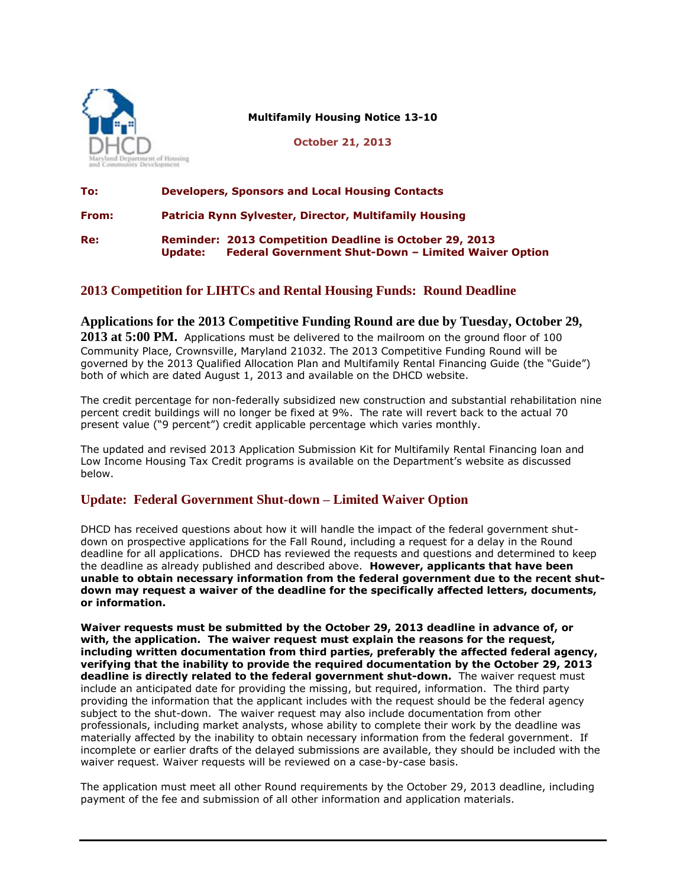

**Multifamily Housing Notice 13-10**

**October 21, 2013**

| To:   | <b>Developers, Sponsors and Local Housing Contacts</b> |                                                                                                                               |
|-------|--------------------------------------------------------|-------------------------------------------------------------------------------------------------------------------------------|
| From: | Patricia Rynn Sylvester, Director, Multifamily Housing |                                                                                                                               |
| Re:   | Update:                                                | <b>Reminder: 2013 Competition Deadline is October 29, 2013</b><br><b>Federal Government Shut-Down - Limited Waiver Option</b> |

## **2013 Competition for LIHTCs and Rental Housing Funds: Round Deadline**

**Applications for the 2013 Competitive Funding Round are due by Tuesday, October 29, 2013 at 5:00 PM.** Applications must be delivered to the mailroom on the ground floor of 100 Community Place, Crownsville, Maryland 21032. The 2013 Competitive Funding Round will be governed by the 2013 Qualified Allocation Plan and Multifamily Rental Financing Guide (the "Guide") both of which are dated August 1, 2013 and available on the DHCD website.

The credit percentage for non-federally subsidized new construction and substantial rehabilitation nine percent credit buildings will no longer be fixed at 9%. The rate will revert back to the actual 70 present value ("9 percent") credit applicable percentage which varies monthly.

The updated and revised 2013 Application Submission Kit for Multifamily Rental Financing loan and Low Income Housing Tax Credit programs is available on the Department's website as discussed below.

## **Update: Federal Government Shut-down – Limited Waiver Option**

DHCD has received questions about how it will handle the impact of the federal government shutdown on prospective applications for the Fall Round, including a request for a delay in the Round deadline for all applications. DHCD has reviewed the requests and questions and determined to keep the deadline as already published and described above. **However, applicants that have been unable to obtain necessary information from the federal government due to the recent shutdown may request a waiver of the deadline for the specifically affected letters, documents, or information.** 

**Waiver requests must be submitted by the October 29, 2013 deadline in advance of, or with, the application. The waiver request must explain the reasons for the request, including written documentation from third parties, preferably the affected federal agency, verifying that the inability to provide the required documentation by the October 29, 2013 deadline is directly related to the federal government shut-down.** The waiver request must include an anticipated date for providing the missing, but required, information. The third party providing the information that the applicant includes with the request should be the federal agency subject to the shut-down. The waiver request may also include documentation from other professionals, including market analysts, whose ability to complete their work by the deadline was materially affected by the inability to obtain necessary information from the federal government. If incomplete or earlier drafts of the delayed submissions are available, they should be included with the waiver request. Waiver requests will be reviewed on a case-by-case basis.

The application must meet all other Round requirements by the October 29, 2013 deadline, including payment of the fee and submission of all other information and application materials.